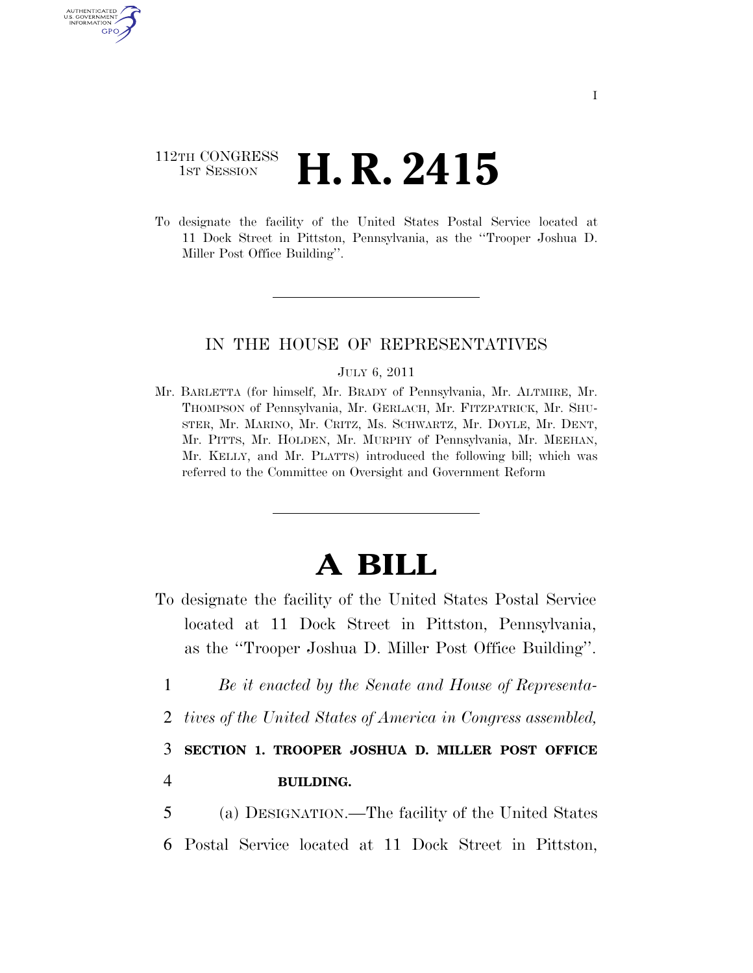## 112TH CONGRESS <sup>TH CONGRESS</sup> **H. R. 2415**

**AUTHENTICATE** U.S. GOVERNMENT GPO

> To designate the facility of the United States Postal Service located at 11 Dock Street in Pittston, Pennsylvania, as the ''Trooper Joshua D. Miller Post Office Building''.

## IN THE HOUSE OF REPRESENTATIVES

## JULY 6, 2011

Mr. BARLETTA (for himself, Mr. BRADY of Pennsylvania, Mr. ALTMIRE, Mr. THOMPSON of Pennsylvania, Mr. GERLACH, Mr. FITZPATRICK, Mr. SHU-STER, Mr. MARINO, Mr. CRITZ, Ms. SCHWARTZ, Mr. DOYLE, Mr. DENT, Mr. PITTS, Mr. HOLDEN, Mr. MURPHY of Pennsylvania, Mr. MEEHAN, Mr. KELLY, and Mr. PLATTS) introduced the following bill; which was referred to the Committee on Oversight and Government Reform

## **A BILL**

- To designate the facility of the United States Postal Service located at 11 Dock Street in Pittston, Pennsylvania, as the ''Trooper Joshua D. Miller Post Office Building''.
	- 1 *Be it enacted by the Senate and House of Representa-*
- 2 *tives of the United States of America in Congress assembled,*

3 **SECTION 1. TROOPER JOSHUA D. MILLER POST OFFICE**  4 **BUILDING.** 

5 (a) DESIGNATION.—The facility of the United States 6 Postal Service located at 11 Dock Street in Pittston,